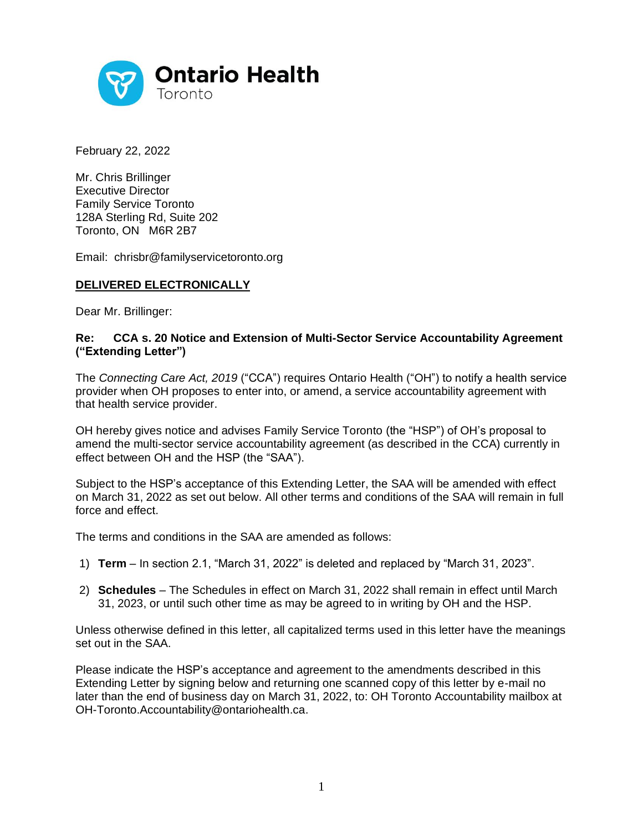

February 22, 2022

Mr. Chris Brillinger Executive Director Family Service Toronto 128A Sterling Rd, Suite 202 Toronto, ON M6R 2B7

Email: chrisbr@familyservicetoronto.org

## **DELIVERED ELECTRONICALLY**

Dear Mr. Brillinger:

## **Re: CCA s. 20 Notice and Extension of Multi-Sector Service Accountability Agreement ("Extending Letter")**

The *Connecting Care Act, 2019* ("CCA") requires Ontario Health ("OH") to notify a health service provider when OH proposes to enter into, or amend, a service accountability agreement with that health service provider.

OH hereby gives notice and advises Family Service Toronto (the "HSP") of OH's proposal to amend the multi-sector service accountability agreement (as described in the CCA) currently in effect between OH and the HSP (the "SAA").

Subject to the HSP's acceptance of this Extending Letter, the SAA will be amended with effect on March 31, 2022 as set out below. All other terms and conditions of the SAA will remain in full force and effect.

The terms and conditions in the SAA are amended as follows:

- 1) **Term** In section 2.1, "March 31, 2022" is deleted and replaced by "March 31, 2023".
- 2) **Schedules**  The Schedules in effect on March 31, 2022 shall remain in effect until March 31, 2023, or until such other time as may be agreed to in writing by OH and the HSP.

Unless otherwise defined in this letter, all capitalized terms used in this letter have the meanings set out in the SAA.

Please indicate the HSP's acceptance and agreement to the amendments described in this Extending Letter by signing below and returning one scanned copy of this letter by e-mail no later than the end of business day on March 31, 2022, to: OH Toronto Accountability mailbox at OH-Toronto.Accountability@ontariohealth.ca.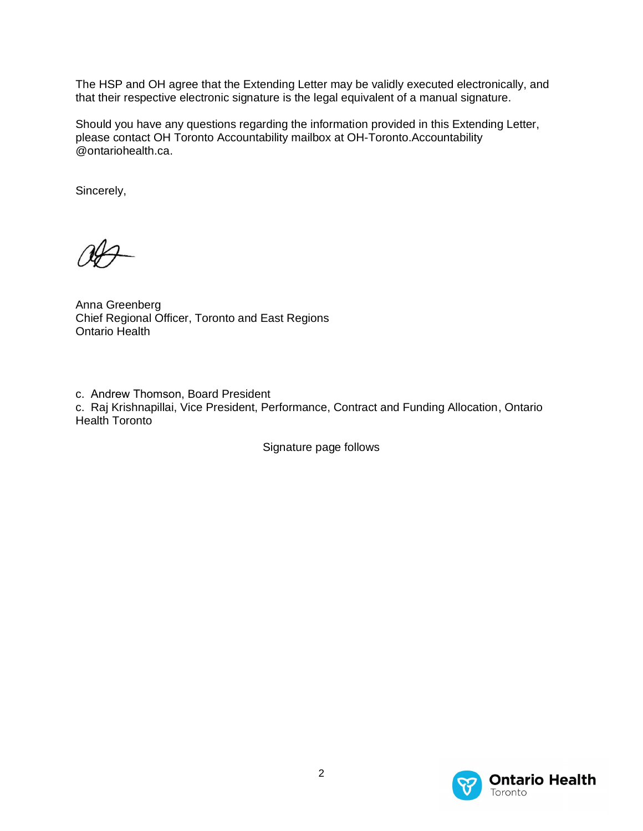The HSP and OH agree that the Extending Letter may be validly executed electronically, and that their respective electronic signature is the legal equivalent of a manual signature.

Should you have any questions regarding the information provided in this Extending Letter, please contact OH Toronto Accountability mailbox at OH-Toronto.Accountability @ontariohealth.ca.

Sincerely,

Anna Greenberg Chief Regional Officer, Toronto and East Regions Ontario Health

c. Andrew Thomson, Board President c. Raj Krishnapillai, Vice President, Performance, Contract and Funding Allocation, Ontario Health Toronto

Signature page follows